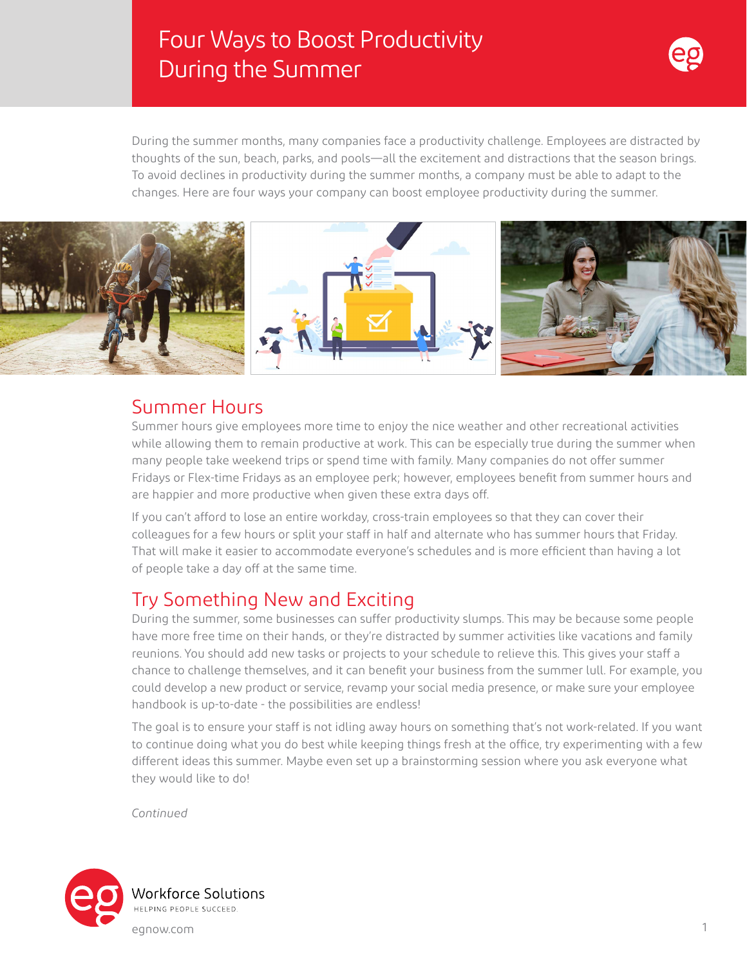# Four Ways to Boost Productivity During the Summer



During the summer months, many companies face a productivity challenge. Employees are distracted by thoughts of the sun, beach, parks, and pools—all the excitement and distractions that the season brings. To avoid declines in productivity during the summer months, a company must be able to adapt to the changes. Here are four ways your company can boost employee productivity during the summer.



#### Summer Hours

Summer hours give employees more time to enjoy the nice weather and other recreational activities while allowing them to remain productive at work. This can be especially true during the summer when many people take weekend trips or spend time with family. Many companies do not offer summer Fridays or Flex-time Fridays as an employee perk; however, employees benefit from summer hours and are happier and more productive when given these extra days off.

If you can't afford to lose an entire workday, cross-train employees so that they can cover their colleagues for a few hours or split your staff in half and alternate who has summer hours that Friday. That will make it easier to accommodate everyone's schedules and is more efficient than having a lot of people take a day off at the same time.

# Try Something New and Exciting

During the summer, some businesses can suffer productivity slumps. This may be because some people have more free time on their hands, or they're distracted by summer activities like vacations and family reunions. You should add new tasks or projects to your schedule to relieve this. This gives your staff a chance to challenge themselves, and it can benefit your business from the summer lull. For example, you could develop a new product or service, revamp your social media presence, or make sure your employee handbook is up-to-date - the possibilities are endless!

The goal is to ensure your staff is not idling away hours on something that's not work-related. If you want to continue doing what you do best while keeping things fresh at the office, try experimenting with a few different ideas this summer. Maybe even set up a brainstorming session where you ask everyone what they would like to do!

*Continued*